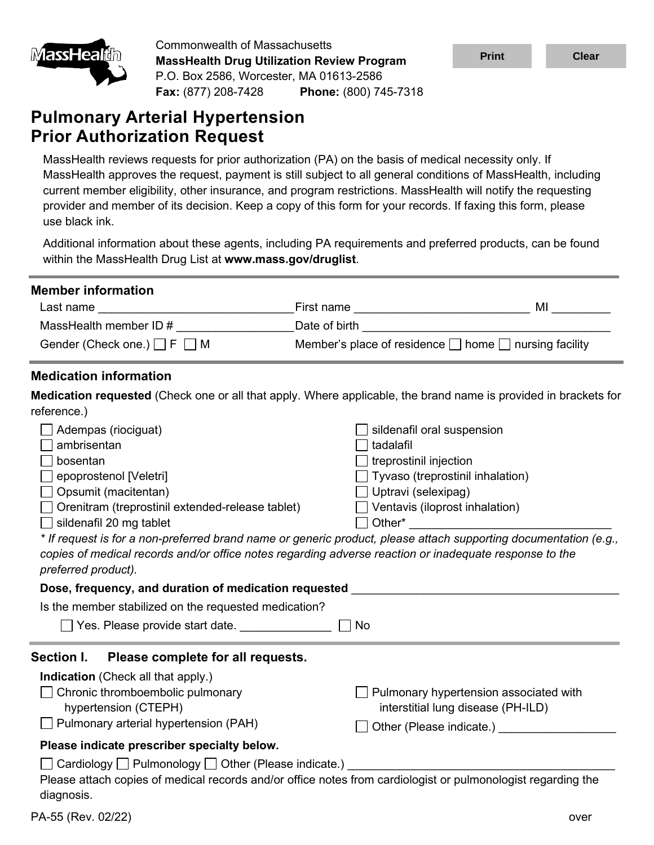

Commonwealth of Massachusetts **MassHealth Drug Utilization Review Program** P.O. Box 2586, Worcester, MA 01613-2586 **Fax:** (877) 208-7428 **Phone:** (800) 745-7318

# **Pulmonary Arterial Hypertension Prior Authorization Request**

MassHealth reviews requests for prior authorization (PA) on the basis of medical necessity only. If MassHealth approves the request, payment is still subject to all general conditions of MassHealth, including current member eligibility, other insurance, and program restrictions. MassHealth will notify the requesting provider and member of its decision. Keep a copy of this form for your records. If faxing this form, please use black ink.

Additional information about these agents, including PA requirements and preferred products, can be found within the MassHealth Drug List at **www.mass.gov/druglist**.

| <b>Member information</b><br>Last name <u>__________________________________</u><br>MassHealth member ID #<br>Gender (Check one.) $\Box$ F $\Box$ M                                                                                                                                                                                                                                                                                                                                                                                                                                      | Member's place of residence $\Box$ home $\Box$ nursing facility                                                                                                                                             |                                        |
|------------------------------------------------------------------------------------------------------------------------------------------------------------------------------------------------------------------------------------------------------------------------------------------------------------------------------------------------------------------------------------------------------------------------------------------------------------------------------------------------------------------------------------------------------------------------------------------|-------------------------------------------------------------------------------------------------------------------------------------------------------------------------------------------------------------|----------------------------------------|
| <b>Medication information</b>                                                                                                                                                                                                                                                                                                                                                                                                                                                                                                                                                            |                                                                                                                                                                                                             |                                        |
| Medication requested (Check one or all that apply. Where applicable, the brand name is provided in brackets for                                                                                                                                                                                                                                                                                                                                                                                                                                                                          |                                                                                                                                                                                                             |                                        |
| reference.)<br>Adempas (riociguat)<br>ambrisentan<br>bosentan<br>epoprostenol [Veletri]<br>$\Box$ Opsumit (macitentan)<br>Orenitram (treprostinil extended-release tablet)<br>$\Box$ sildenafil 20 mg tablet<br>* If request is for a non-preferred brand name or generic product, please attach supporting documentation (e.g.,<br>copies of medical records and/or office notes regarding adverse reaction or inadequate response to the<br>preferred product).<br>Dose, frequency, and duration of medication requested <b>Dose</b> , frequency, and duration of medication requested | sildenafil oral suspension<br>tadalafil<br>$\Box$ treprostinil injection<br>$\Box$ Tyvaso (treprostinil inhalation)<br>$\Box$ Uptravi (selexipag)<br>$\Box$ Ventavis (iloprost inhalation)<br>$\Box$ Other* |                                        |
| Is the member stabilized on the requested medication?                                                                                                                                                                                                                                                                                                                                                                                                                                                                                                                                    |                                                                                                                                                                                                             |                                        |
|                                                                                                                                                                                                                                                                                                                                                                                                                                                                                                                                                                                          | <b>No</b>                                                                                                                                                                                                   |                                        |
| Section I.<br>Please complete for all requests.<br><b>Indication</b> (Check all that apply.)<br>Chronic thromboembolic pulmonary<br>hypertension (CTEPH)<br>$\Box$ Pulmonary arterial hypertension (PAH)                                                                                                                                                                                                                                                                                                                                                                                 | Pulmonary hypertension associated with<br>interstitial lung disease (PH-ILD)                                                                                                                                | Other (Please indicate.) <b>CHOREA</b> |
| Please indicate prescriber specialty below.<br>$\Box$ Cardiology $\Box$ Pulmonology $\Box$ Other (Please indicate.)<br>Please attach copies of medical records and/or office notes from cardiologist or pulmonologist regarding the<br>diagnosis.                                                                                                                                                                                                                                                                                                                                        |                                                                                                                                                                                                             |                                        |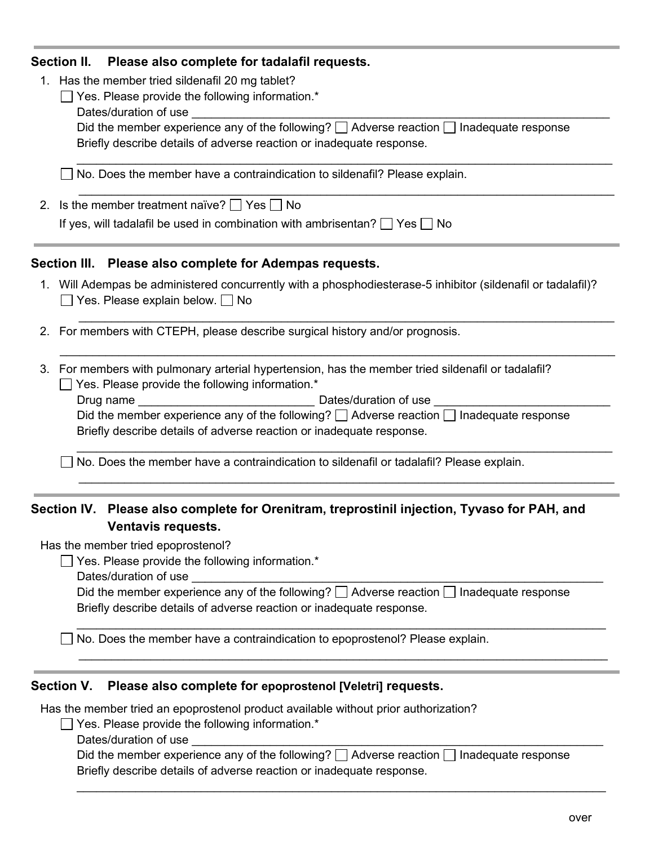### **Section II. Please also complete for tadalafil requests.**

1. Has the member tried sildenafil 20 mg tablet?

| $\Box$ Yes. Please provide the following information.*                                             |
|----------------------------------------------------------------------------------------------------|
| Dates/duration of use                                                                              |
| Did the member experience any of the following? $\Box$ Adverse reaction $\Box$ Inadequate response |
| Briefly describe details of adverse reaction or inadequate response.                               |
|                                                                                                    |
|                                                                                                    |

\_\_\_\_\_\_\_\_\_\_\_\_\_\_\_\_\_\_\_\_\_\_\_\_\_\_\_\_\_\_\_\_\_\_\_\_\_\_\_\_\_\_\_\_\_\_\_\_\_\_\_\_\_\_\_\_\_\_\_\_\_\_\_\_\_\_\_\_\_\_\_\_\_\_\_\_\_\_\_\_\_\_

\_\_\_\_\_\_\_\_\_\_\_\_\_\_\_\_\_\_\_\_\_\_\_\_\_\_\_\_\_\_\_\_\_\_\_\_\_\_\_\_\_\_\_\_\_\_\_\_\_\_\_\_\_\_\_\_\_\_\_\_\_\_\_\_\_\_\_\_\_\_\_\_\_\_\_\_\_\_\_\_\_\_

 $\_$  , and the set of the set of the set of the set of the set of the set of the set of the set of the set of the set of the set of the set of the set of the set of the set of the set of the set of the set of the set of th

No. Does the member have a contraindication to sildenafil? Please explain.

2. Is the member treatment naïve?  $\Box$  Yes  $\Box$  No

If yes, will tadalafil be used in combination with ambrisentan?  $\Box$  Yes  $\Box$  No

## **Section III. Please also complete for Adempas requests.**

- 1. Will Adempas be administered concurrently with a phosphodiesterase-5 inhibitor (sildenafil or tadalafil)?  $\Box$  Yes. Please explain below.  $\Box$  No
- 2. For members with CTEPH, please describe surgical history and/or prognosis.

3. For members with pulmonary arterial hypertension, has the member tried sildenafil or tadalafil?  $\Box$  Yes. Please provide the following information.\*

| Drug name                                                            | Dates/duration of use                                                                              |
|----------------------------------------------------------------------|----------------------------------------------------------------------------------------------------|
|                                                                      | Did the member experience any of the following? $\Box$ Adverse reaction $\Box$ Inadequate response |
| Briefly describe details of adverse reaction or inadequate response. |                                                                                                    |

\_\_\_\_\_\_\_\_\_\_\_\_\_\_\_\_\_\_\_\_\_\_\_\_\_\_\_\_\_\_\_\_\_\_\_\_\_\_\_\_\_\_\_\_\_\_\_\_\_\_\_\_\_\_\_\_\_\_\_\_\_\_\_\_\_\_\_\_\_\_\_\_\_\_\_\_\_\_\_\_\_\_

 $\_$  , and the set of the set of the set of the set of the set of the set of the set of the set of the set of the set of the set of the set of the set of the set of the set of the set of the set of the set of the set of th

 $\Box$  No. Does the member have a contraindication to sildenafil or tadalafil? Please explain.

# **Section IV. Please also complete for Orenitram, treprostinil injection, Tyvaso for PAH, and Ventavis requests.**

Has the member tried epoprostenol?

 $\Box$  Yes. Please provide the following information. $*$ 

Dates/duration of use

| Did the member experience any of the following? $\Box$ Adverse reaction $\Box$ Inadequate response |
|----------------------------------------------------------------------------------------------------|
| Briefly describe details of adverse reaction or inadequate response.                               |

\_\_\_\_\_\_\_\_\_\_\_\_\_\_\_\_\_\_\_\_\_\_\_\_\_\_\_\_\_\_\_\_\_\_\_\_\_\_\_\_\_\_\_\_\_\_\_\_\_\_\_\_\_\_\_\_\_\_\_\_\_\_\_\_\_\_\_\_\_\_\_\_\_\_\_\_\_\_\_\_\_

\_\_\_\_\_\_\_\_\_\_\_\_\_\_\_\_\_\_\_\_\_\_\_\_\_\_\_\_\_\_\_\_\_\_\_\_\_\_\_\_\_\_\_\_\_\_\_\_\_\_\_\_\_\_\_\_\_\_\_\_\_\_\_\_\_\_\_\_\_\_\_\_\_\_\_\_\_\_\_\_\_

 $\Box$  No. Does the member have a contraindication to epoprostenol? Please explain.

## **Section V. Please also complete for epoprostenol [Veletri] requests.**

Has the member tried an epoprostenol product available without prior authorization?

 $\Box$  Yes. Please provide the following information.\*

Dates/duration of use

Did the member experience any of the following?  $\Box$  Adverse reaction  $\Box$  Inadequate response Briefly describe details of adverse reaction or inadequate response.

\_\_\_\_\_\_\_\_\_\_\_\_\_\_\_\_\_\_\_\_\_\_\_\_\_\_\_\_\_\_\_\_\_\_\_\_\_\_\_\_\_\_\_\_\_\_\_\_\_\_\_\_\_\_\_\_\_\_\_\_\_\_\_\_\_\_\_\_\_\_\_\_\_\_\_\_\_\_\_\_\_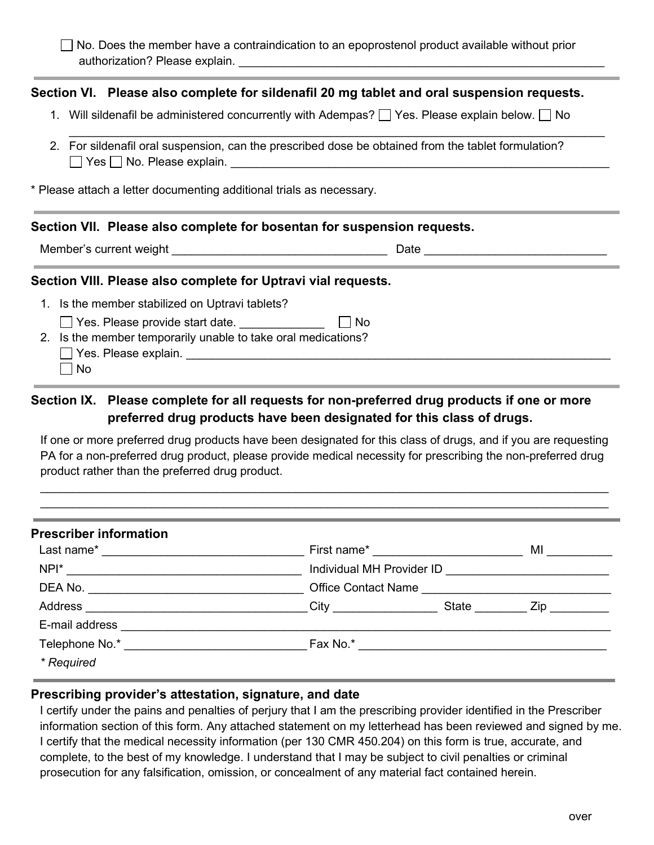$\Box$  No. Does the member have a contraindication to an epoprostenol product available without prior authorization? Please explain. \_\_\_\_\_\_\_\_\_\_\_\_\_\_\_\_\_\_\_\_\_\_\_\_\_\_\_\_\_\_\_\_\_\_\_\_\_\_\_\_\_\_\_\_\_\_\_\_\_\_\_\_\_\_\_\_

# **Section VI. Please also complete for sildenafil 20 mg tablet and oral suspension requests.**

1. Will sildenafil be administered concurrently with Adempas?  $\Box$  Yes. Please explain below.  $\Box$  No

 $\_$  , and the set of the set of the set of the set of the set of the set of the set of the set of the set of the set of the set of the set of the set of the set of the set of the set of the set of the set of the set of th

2. For sildenafil oral suspension, can the prescribed dose be obtained from the tablet formulation?  $\Box$  Yes  $\Box$  No. Please explain.

\* Please attach a letter documenting additional trials as necessary.

#### **Section VII. Please also complete for bosentan for suspension requests.**

Member's current weight \_\_\_\_\_\_\_\_\_\_\_\_\_\_\_\_\_\_\_\_\_\_\_\_\_\_\_\_\_\_\_\_\_ Date \_\_\_\_\_\_\_\_\_\_\_\_\_\_\_\_\_\_\_\_\_\_\_\_\_\_\_\_ 

### **Section VIII. Please also complete for Uptravi vial requests.**

- 1. Is the member stabilized on Uptravi tablets?
	- □ Yes. Please provide start date. <br>□ No
- 2. Is the member temporarily unable to take oral medications?
	- Yes. Please explain. \_\_\_\_\_\_\_\_\_\_\_\_\_\_\_\_\_\_\_\_\_\_\_\_\_\_\_\_\_\_\_\_\_\_\_\_\_\_\_\_\_\_\_\_\_\_\_\_\_\_\_\_\_\_\_\_\_\_\_\_\_\_\_\_\_
	- $\Box$  No

# **Section IX. Please complete for all requests for non-preferred drug products if one or more preferred drug products have been designated for this class of drugs.**

If one or more preferred drug products have been designated for this class of drugs, and if you are requesting PA for a non-preferred drug product, please provide medical necessity for prescribing the non-preferred drug product rather than the preferred drug product.

 $\_$  , and the set of the set of the set of the set of the set of the set of the set of the set of the set of the set of the set of the set of the set of the set of the set of the set of the set of the set of the set of th  $\_$  , and the set of the set of the set of the set of the set of the set of the set of the set of the set of the set of the set of the set of the set of the set of the set of the set of the set of the set of the set of th

| <b>Prescriber information</b>                                                                                                                                                                                                  |                                                     |                                       |                                                                                                                                                                                                                                    |
|--------------------------------------------------------------------------------------------------------------------------------------------------------------------------------------------------------------------------------|-----------------------------------------------------|---------------------------------------|------------------------------------------------------------------------------------------------------------------------------------------------------------------------------------------------------------------------------------|
|                                                                                                                                                                                                                                |                                                     | First name* <u>__________________</u> | <b>MI</b> and the set of the set of the set of the set of the set of the set of the set of the set of the set of the set of the set of the set of the set of the set of the set of the set of the set of the set of the set of the |
|                                                                                                                                                                                                                                | Individual MH Provider ID <u>__________________</u> |                                       |                                                                                                                                                                                                                                    |
|                                                                                                                                                                                                                                | Office Contact Name                                 |                                       |                                                                                                                                                                                                                                    |
| Address ________________________________City __________________State __________Zip ________________                                                                                                                            |                                                     |                                       |                                                                                                                                                                                                                                    |
| E-mail address and the contract of the contract of the contract of the contract of the contract of the contract of the contract of the contract of the contract of the contract of the contract of the contract of the contrac |                                                     |                                       |                                                                                                                                                                                                                                    |
|                                                                                                                                                                                                                                |                                                     |                                       |                                                                                                                                                                                                                                    |
| * Required                                                                                                                                                                                                                     |                                                     |                                       |                                                                                                                                                                                                                                    |

## **Prescribing provider's attestation, signature, and date**

I certify under the pains and penalties of perjury that I am the prescribing provider identified in the Prescriber information section of this form. Any attached statement on my letterhead has been reviewed and signed by me. I certify that the medical necessity information (per 130 CMR 450.204) on this form is true, accurate, and complete, to the best of my knowledge. I understand that I may be subject to civil penalties or criminal prosecution for any falsification, omission, or concealment of any material fact contained herein.